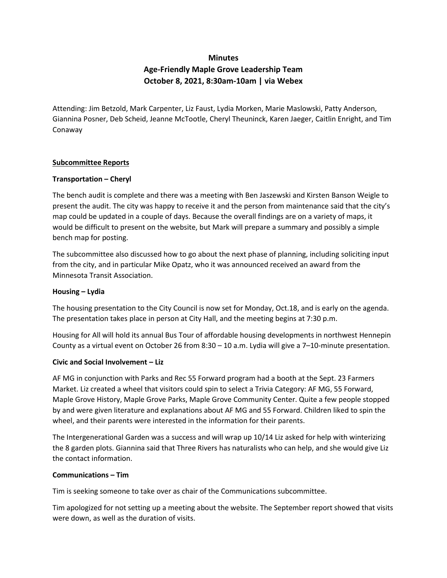# **Minutes Age-Friendly Maple Grove Leadership Team October 8, 2021, 8:30am-10am | via Webex**

Attending: Jim Betzold, Mark Carpenter, Liz Faust, Lydia Morken, Marie Maslowski, Patty Anderson, Giannina Posner, Deb Scheid, Jeanne McTootle, Cheryl Theuninck, Karen Jaeger, Caitlin Enright, and Tim Conaway

#### **Subcommittee Reports**

### **Transportation – Cheryl**

The bench audit is complete and there was a meeting with Ben Jaszewski and Kirsten Banson Weigle to present the audit. The city was happy to receive it and the person from maintenance said that the city's map could be updated in a couple of days. Because the overall findings are on a variety of maps, it would be difficult to present on the website, but Mark will prepare a summary and possibly a simple bench map for posting.

The subcommittee also discussed how to go about the next phase of planning, including soliciting input from the city, and in particular Mike Opatz, who it was announced received an award from the Minnesota Transit Association.

#### **Housing – Lydia**

The housing presentation to the City Council is now set for Monday, Oct.18, and is early on the agenda. The presentation takes place in person at City Hall, and the meeting begins at 7:30 p.m.

Housing for All will hold its annual Bus Tour of affordable housing developments in northwest Hennepin County as a virtual event on October 26 from 8:30 – 10 a.m. Lydia will give a 7–10-minute presentation.

#### **Civic and Social Involvement – Liz**

AF MG in conjunction with Parks and Rec 55 Forward program had a booth at the Sept. 23 Farmers Market. Liz created a wheel that visitors could spin to select a Trivia Category: AF MG, 55 Forward, Maple Grove History, Maple Grove Parks, Maple Grove Community Center. Quite a few people stopped by and were given literature and explanations about AF MG and 55 Forward. Children liked to spin the wheel, and their parents were interested in the information for their parents.

The Intergenerational Garden was a success and will wrap up 10/14 Liz asked for help with winterizing the 8 garden plots. Giannina said that Three Rivers has naturalists who can help, and she would give Liz the contact information.

#### **Communications – Tim**

Tim is seeking someone to take over as chair of the Communications subcommittee.

Tim apologized for not setting up a meeting about the website. The September report showed that visits were down, as well as the duration of visits.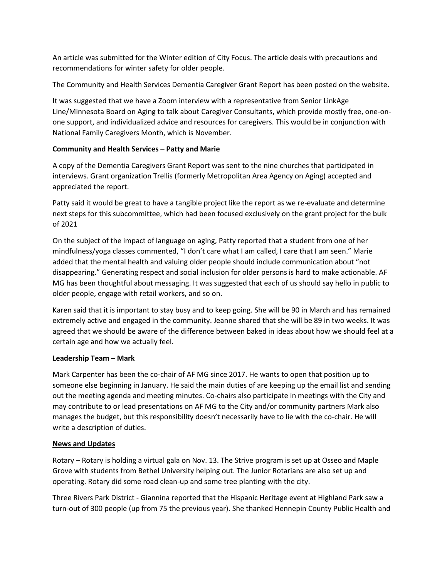An article was submitted for the Winter edition of City Focus. The article deals with precautions and recommendations for winter safety for older people.

The Community and Health Services Dementia Caregiver Grant Report has been posted on the website.

It was suggested that we have a Zoom interview with a representative from Senior LinkAge Line/Minnesota Board on Aging to talk about Caregiver Consultants, which provide mostly free, one-onone support, and individualized advice and resources for caregivers. This would be in conjunction with National Family Caregivers Month, which is November.

## **Community and Health Services – Patty and Marie**

A copy of the Dementia Caregivers Grant Report was sent to the nine churches that participated in interviews. Grant organization Trellis (formerly Metropolitan Area Agency on Aging) accepted and appreciated the report.

Patty said it would be great to have a tangible project like the report as we re-evaluate and determine next steps for this subcommittee, which had been focused exclusively on the grant project for the bulk of 2021

On the subject of the impact of language on aging, Patty reported that a student from one of her mindfulness/yoga classes commented, "I don't care what I am called, I care that I am seen." Marie added that the mental health and valuing older people should include communication about "not disappearing." Generating respect and social inclusion for older persons is hard to make actionable. AF MG has been thoughtful about messaging. It was suggested that each of us should say hello in public to older people, engage with retail workers, and so on.

Karen said that it is important to stay busy and to keep going. She will be 90 in March and has remained extremely active and engaged in the community. Jeanne shared that she will be 89 in two weeks. It was agreed that we should be aware of the difference between baked in ideas about how we should feel at a certain age and how we actually feel.

## **Leadership Team – Mark**

Mark Carpenter has been the co-chair of AF MG since 2017. He wants to open that position up to someone else beginning in January. He said the main duties of are keeping up the email list and sending out the meeting agenda and meeting minutes. Co-chairs also participate in meetings with the City and may contribute to or lead presentations on AF MG to the City and/or community partners Mark also manages the budget, but this responsibility doesn't necessarily have to lie with the co-chair. He will write a description of duties.

## **News and Updates**

Rotary – Rotary is holding a virtual gala on Nov. 13. The Strive program is set up at Osseo and Maple Grove with students from Bethel University helping out. The Junior Rotarians are also set up and operating. Rotary did some road clean-up and some tree planting with the city.

Three Rivers Park District - Giannina reported that the Hispanic Heritage event at Highland Park saw a turn-out of 300 people (up from 75 the previous year). She thanked Hennepin County Public Health and